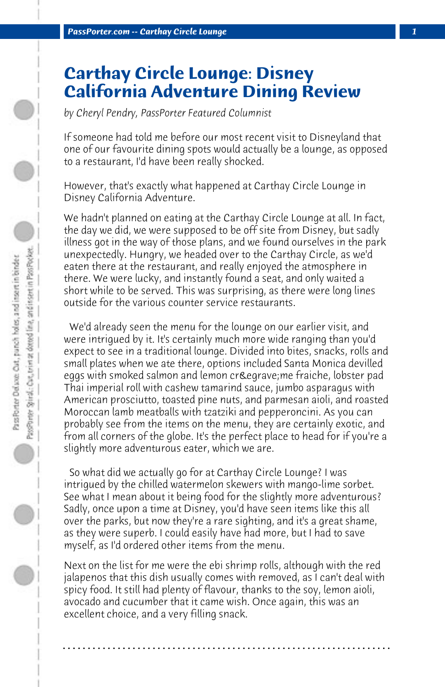## **Carthay Circle Lounge: Disney California Adventure Dining Review**

*by Cheryl Pendry, PassPorter Featured Columnist*

If someone had told me before our most recent visit to Disneyland that one of our favourite dining spots would actually be a lounge, as opposed to a restaurant, I'd have been really shocked.

However, that's exactly what happened at Carthay Circle Lounge in Disney California Adventure.

We hadn't planned on eating at the Carthay Circle Lounge at all. In fact, the day we did, we were supposed to be off site from Disney, but sadly illness got in the way of those plans, and we found ourselves in the park unexpectedly. Hungry, we headed over to the Carthay Circle, as we'd eaten there at the restaurant, and really enjoyed the atmosphere in there. We were lucky, and instantly found a seat, and only waited a short while to be served. This was surprising, as there were long lines outside for the various counter service restaurants.

 We'd already seen the menu for the lounge on our earlier visit, and were intrigued by it. It's certainly much more wide ranging than you'd expect to see in a traditional lounge. Divided into bites, snacks, rolls and small plates when we ate there, options included Santa Monica devilled eggs with smoked salmon and lemon crè me fraiche, lobster pad Thai imperial roll with cashew tamarind sauce, jumbo asparagus with American prosciutto, toasted pine nuts, and parmesan aioli, and roasted Moroccan lamb meatballs with tzatziki and pepperoncini. As you can probably see from the items on the menu, they are certainly exotic, and from all corners of the globe. It's the perfect place to head for if you're a slightly more adventurous eater, which we are.

 So what did we actually go for at Carthay Circle Lounge? I was intrigued by the chilled watermelon skewers with mango-lime sorbet. See what I mean about it being food for the slightly more adventurous? Sadly, once upon a time at Disney, you'd have seen items like this all over the parks, but now they're a rare sighting, and it's a great shame, as they were superb. I could easily have had more, but I had to save myself, as I'd ordered other items from the menu.

Next on the list for me were the ebi shrimp rolls, although with the red jalapenos that this dish usually comes with removed, as I can't deal with spicy food. It still had plenty of flavour, thanks to the soy, lemon aioli, avocado and cucumber that it came wish. Once again, this was an excellent choice, and a very filling snack.

**. . . . . . . . . . . . . . . . . . . . . . . . . . . . . . . . . . . . . . . . . . . . . . . . . . . . . . . . . . . . . . . . . .**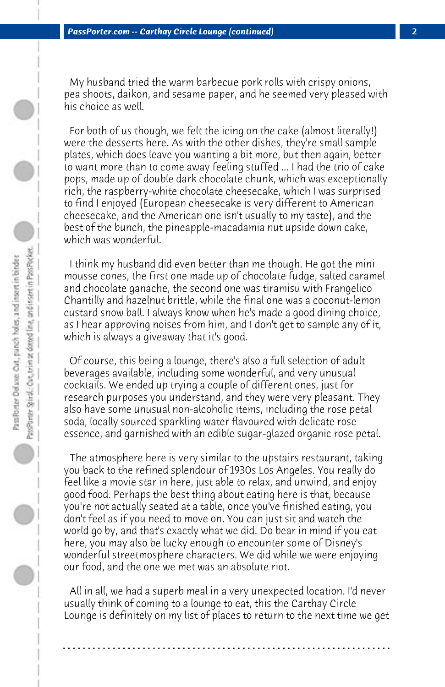My husband tried the warm barbecue pork rolls with crispy onions, pea shoots, daikon, and sesame paper, and he seemed very pleased with his choice as well.

 For both of us though, we felt the icing on the cake (almost literally!) were the desserts here. As with the other dishes, they're small sample plates, which does leave you wanting a bit more, but then again, better to want more than to come away feeling stuffed ... I had the trio of cake pops, made up of double dark chocolate chunk, which was exceptionally rich, the raspberry-white chocolate cheesecake, which I was surprised to find I enjoyed (European cheesecake is very different to American cheesecake, and the American one isn't usually to my taste), and the best of the bunch, the pineapple-macadamia nut upside down cake, which was wonderful.

 I think my husband did even better than me though. He got the mini mousse cones, the first one made up of chocolate fudge, salted caramel and chocolate ganache, the second one was tiramisu with Frangelico Chantilly and hazelnut brittle, while the final one was a coconut-lemon custard snow ball. I always know when he's made a good dining choice, as I hear approving noises from him, and I don't get to sample any of it, which is always a giveaway that it's good.

 Of course, this being a lounge, there's also a full selection of adult beverages available, including some wonderful, and very unusual cocktails. We ended up trying a couple of different ones, just for research purposes you understand, and they were very pleasant. They also have some unusual non-alcoholic items, including the rose petal soda, locally sourced sparkling water flavoured with delicate rose essence, and garnished with an edible sugar-glazed organic rose petal.

 The atmosphere here is very similar to the upstairs restaurant, taking you back to the refined splendour of 1930s Los Angeles. You really do feel like a movie star in here, just able to relax, and unwind, and enjoy good food. Perhaps the best thing about eating here is that, because you're not actually seated at a table, once you've finished eating, you don't feel as if you need to move on. You can just sit and watch the world go by, and that's exactly what we did. Do bear in mind if you eat here, you may also be lucky enough to encounter some of Disney's wonderful streetmosphere characters. We did while we were enjoying our food, and the one we met was an absolute riot.

 All in all, we had a superb meal in a very unexpected location. I'd never usually think of coming to a lounge to eat, this the Carthay Circle Lounge is definitely on my list of places to return to the next time we get

**. . . . . . . . . . . . . . . . . . . . . . . . . . . . . . . . . . . . . . . . . . . . . . . . . . . . . . . . . . . . . . . . . .**